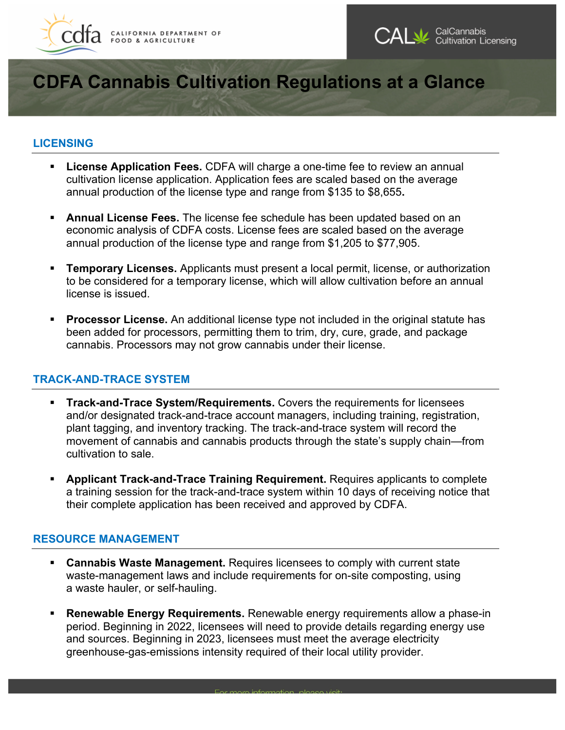



# **CDFA Cannabis Cultivation Regulations at a Glance**

## **LICENSING**

- **License Application Fees.** CDFA will charge a one-time fee to review an annual cultivation license application. Application fees are scaled based on the average annual production of the license type and range from \$135 to \$8,655**.**
- **Annual License Fees.** The license fee schedule has been updated based on an economic analysis of CDFA costs. License fees are scaled based on the average annual production of the license type and range from \$1,205 to \$77,905.
- license is issued. • **Temporary Licenses.** Applicants must present a local permit, license, or authorization to be considered for a temporary license, which will allow cultivation before an annual
- **Processor License.** An additional license type not included in the original statute has been added for processors, permitting them to trim, dry, cure, grade, and package cannabis. Processors may not grow cannabis under their license.

## **TRACK-AND-TRACE SYSTEM**

- **Track-and-Trace System/Requirements.** Covers the requirements for licensees and/or designated track-and-trace account managers, including training, registration, plant tagging, and inventory tracking. The track-and-trace system will record the movement of cannabis and cannabis products through the state's supply chain—from cultivation to sale.
- **Applicant Track-and-Trace Training Requirement.** Requires applicants to complete a training session for the track-and-trace system within 10 days of receiving notice that their complete application has been received and approved by CDFA.

## **RESOURCE MANAGEMENT**

- **Cannabis Waste Management.** Requires licensees to comply with current state waste-management laws and include requirements for on-site composting, using a waste hauler, or self-hauling.
- **Renewable Energy Requirements.** Renewable energy requirements allow a phase-in period. Beginning in 2022, licensees will need to provide details regarding energy use and sources. Beginning in 2023, licensees must meet the average electricity greenhouse-gas-emissions intensity required of their local utility provider.